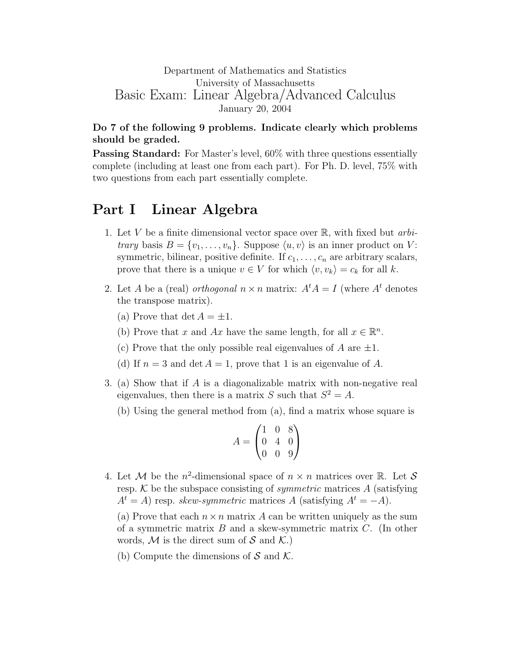## Department of Mathematics and Statistics University of Massachusetts Basic Exam: Linear Algebra/Advanced Calculus January 20, 2004

## Do 7 of the following 9 problems. Indicate clearly which problems should be graded.

**Passing Standard:** For Master's level,  $60\%$  with three questions essentially complete (including at least one from each part). For Ph. D. level, 75% with two questions from each part essentially complete.

## Part I Linear Algebra

- 1. Let V be a finite dimensional vector space over  $\mathbb{R}$ , with fixed but *arbitrary* basis  $B = \{v_1, \ldots, v_n\}$ . Suppose  $\langle u, v \rangle$  is an inner product on V: symmetric, bilinear, positive definite. If  $c_1, \ldots, c_n$  are arbitrary scalars, prove that there is a unique  $v \in V$  for which  $\langle v, v_k \rangle = c_k$  for all k.
- 2. Let A be a (real) orthogonal  $n \times n$  matrix:  $A^t A = I$  (where  $A^t$  denotes the transpose matrix).
	- (a) Prove that  $\det A = \pm 1$ .
	- (b) Prove that x and Ax have the same length, for all  $x \in \mathbb{R}^n$ .
	- (c) Prove that the only possible real eigenvalues of A are  $\pm 1$ .
	- (d) If  $n = 3$  and det  $A = 1$ , prove that 1 is an eigenvalue of A.
- 3. (a) Show that if A is a diagonalizable matrix with non-negative real eigenvalues, then there is a matrix S such that  $S^2 = A$ .
	- (b) Using the general method from (a), find a matrix whose square is

$$
A = \begin{pmatrix} 1 & 0 & 8 \\ 0 & 4 & 0 \\ 0 & 0 & 9 \end{pmatrix}
$$

4. Let M be the  $n^2$ -dimensional space of  $n \times n$  matrices over R. Let S resp.  $K$  be the subspace consisting of *symmetric* matrices  $A$  (satisfying  $A<sup>t</sup> = A$ ) resp. *skew-symmetric* matrices A (satisfying  $A<sup>t</sup> = -A$ ).

(a) Prove that each  $n \times n$  matrix A can be written uniquely as the sum of a symmetric matrix  $B$  and a skew-symmetric matrix  $C$ . (In other words, M is the direct sum of S and  $\mathcal{K}$ .)

(b) Compute the dimensions of  $S$  and  $K$ .